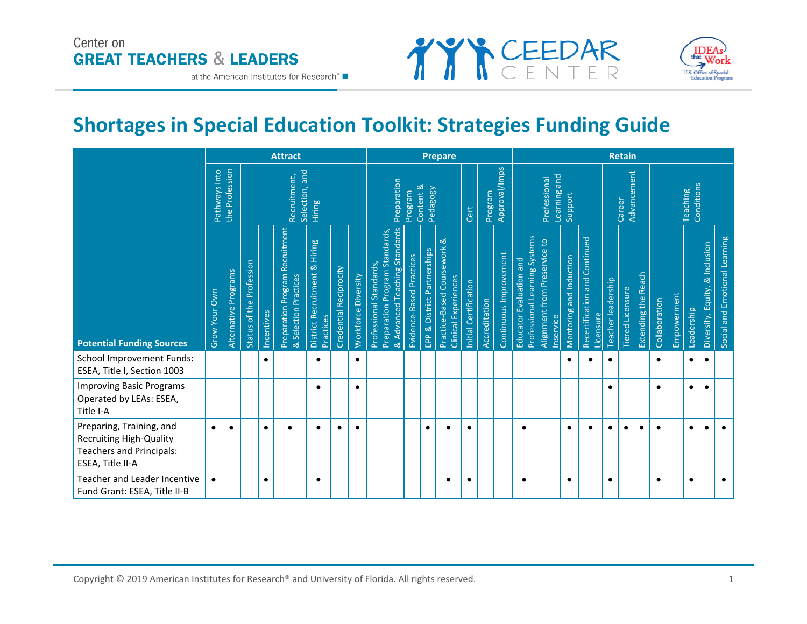# Center on **GREAT TEACHERS & LEADERS**

at the American Institutes for Research®





# **Shortages in Special Education Toolkit: Strategies Funding Guide**

|                                                                                                                   |               |                      |                          |            | <b>Attract</b>                                           |                                            |                        |                     | <b>Prepare</b>                                                                             |                          |                             |                                                     |                       |               |                        |                                                                 | <b>Retain</b>                             |                         |                                            |                    |                         |                     |               |             |                        |                                |                               |
|-------------------------------------------------------------------------------------------------------------------|---------------|----------------------|--------------------------|------------|----------------------------------------------------------|--------------------------------------------|------------------------|---------------------|--------------------------------------------------------------------------------------------|--------------------------|-----------------------------|-----------------------------------------------------|-----------------------|---------------|------------------------|-----------------------------------------------------------------|-------------------------------------------|-------------------------|--------------------------------------------|--------------------|-------------------------|---------------------|---------------|-------------|------------------------|--------------------------------|-------------------------------|
|                                                                                                                   | Pathways Into | the Profession       |                          |            | Selection, and<br>Recruitment,                           | Hiring                                     |                        |                     | Preparation                                                                                | Program                  | Content &<br>Pedagogy       |                                                     | Cert                  | Program       | Approval/Imps          |                                                                 | Learning and<br>Professional              | Support                 |                                            |                    | Advancement<br>Career   |                     |               |             | Conditions<br>Teaching |                                |                               |
| <b>Potential Funding Sources</b>                                                                                  | Grow Your Own | Alternative Programs | Status of the Profession | Incentives | Preparation Program Recruitment<br>& Selection Practices | District Recruitment & Hiring<br>Practices | Credential Reciprocity | Workforce Diversity | Preparation Program Standards,<br>& Advanced Teaching Standards<br>Professional Standards, | Evidence-Based Practices | EPP & District Partnerships | Practice-Based Coursework &<br>Clinical Experiences | Initial Certification | Accreditation | Continuous Improvement | <b>Professional Learning Systems</b><br>Educator Evaluation and | Alignment from Preservice to<br>Inservice | Mentoring and Induction | Recertification and Continued<br>Licensure | Teacher leadership | <b>Tiered Licensure</b> | Extending the Reach | Collaboration | Empowerment | Leadership             | Diversify, Equity, & Inclusion | Social and Emotional Learning |
| <b>School Improvement Funds:</b><br>ESEA, Title I, Section 1003                                                   |               |                      |                          | $\bullet$  |                                                          |                                            |                        | $\bullet$           |                                                                                            |                          |                             |                                                     |                       |               |                        |                                                                 |                                           | ٠                       |                                            | $\bullet$          |                         |                     |               |             | $\bullet$              | $\bullet$                      |                               |
| <b>Improving Basic Programs</b><br>Operated by LEAs: ESEA,<br>Title I-A                                           |               |                      |                          |            |                                                          |                                            |                        | ٠                   |                                                                                            |                          |                             |                                                     |                       |               |                        |                                                                 |                                           |                         |                                            |                    |                         |                     |               |             | $\bullet$              | $\bullet$                      |                               |
| Preparing, Training, and<br><b>Recruiting High-Quality</b><br><b>Teachers and Principals:</b><br>ESEA, Title II-A | $\bullet$     | $\bullet$            |                          | $\bullet$  | $\bullet$                                                | $\bullet$                                  | $\bullet$              | $\bullet$           |                                                                                            |                          | $\bullet$                   | $\bullet$                                           | $\bullet$             |               |                        | $\bullet$                                                       |                                           | $\bullet$               | $\bullet$                                  | $\bullet$          | $\bullet$               | $\bullet$           | $\bullet$     |             | $\bullet$              | $\bullet$                      | $\bullet$                     |
| Teacher and Leader Incentive<br>Fund Grant: ESEA, Title II-B                                                      |               |                      |                          | ٠          |                                                          | $\bullet$                                  |                        |                     |                                                                                            |                          |                             | $\bullet$                                           | $\bullet$             |               |                        | $\bullet$                                                       |                                           | ٠                       |                                            | $\bullet$          |                         |                     | $\bullet$     |             | $\bullet$              |                                | $\bullet$                     |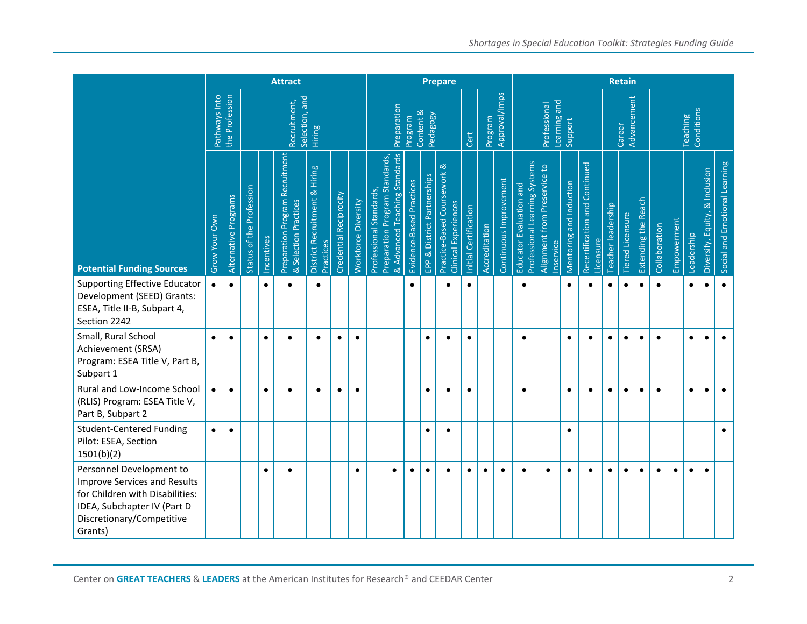|                                                                                                                                                                           |               |                      |                          |            | <b>Attract</b>                                           |                                            |                        |                     |                                                                                            | <b>Retain</b>            |                             |                                                     |                       |               |                        |                                                          |                                           |                         |                                            |                    |                         |                     |               |             |                        |                                |                               |
|---------------------------------------------------------------------------------------------------------------------------------------------------------------------------|---------------|----------------------|--------------------------|------------|----------------------------------------------------------|--------------------------------------------|------------------------|---------------------|--------------------------------------------------------------------------------------------|--------------------------|-----------------------------|-----------------------------------------------------|-----------------------|---------------|------------------------|----------------------------------------------------------|-------------------------------------------|-------------------------|--------------------------------------------|--------------------|-------------------------|---------------------|---------------|-------------|------------------------|--------------------------------|-------------------------------|
|                                                                                                                                                                           | Pathways Into | the Profession       |                          |            | Selection, and<br>Recruitment,                           | Hiring                                     |                        |                     | Preparation                                                                                | Program                  | Content &<br>Pedagogy       |                                                     | Cert                  | Program       | Approval/Imps          |                                                          | Learning and<br>Professional              | Support                 |                                            |                    | Advancement<br>Career   |                     |               |             | Conditions<br>Teaching |                                |                               |
| <b>Potential Funding Sources</b>                                                                                                                                          | Grow Your Own | Alternative Programs | Status of the Profession | Incentives | Preparation Program Recruitment<br>& Selection Practices | District Recruitment & Hiring<br>Practices | Credential Reciprocity | Workforce Diversity | Preparation Program Standards,<br>& Advanced Teaching Standards<br>Professional Standards, | Evidence-Based Practices | EPP & District Partnerships | Practice-Based Coursework &<br>Clinical Experiences | Initial Certification | Accreditation | Continuous Improvement | Professional Learning Systems<br>Educator Evaluation and | Alignment from Preservice to<br>Inservice | Mentoring and Induction | Recertification and Continued<br>Licensure | Teacher leadership | <b>Tiered Licensure</b> | Extending the Reach | Collaboration | Empowerment | Leadership             | Diversify, Equity, & Inclusion | Social and Emotional Learning |
| <b>Supporting Effective Educator</b><br>Development (SEED) Grants:<br>ESEA, Title II-B, Subpart 4,<br>Section 2242                                                        |               |                      |                          | $\bullet$  | $\bullet$                                                | $\bullet$                                  |                        |                     |                                                                                            | $\bullet$                |                             | $\bullet$                                           | $\bullet$             |               |                        | $\bullet$                                                |                                           | $\bullet$               |                                            | $\bullet$          | $\bullet$               |                     | $\bullet$     |             | $\bullet$              | $\bullet$                      | $\bullet$                     |
| Small, Rural School<br>Achievement (SRSA)<br>Program: ESEA Title V, Part B,<br>Subpart 1                                                                                  | $\bullet$     | $\bullet$            |                          | $\bullet$  | $\bullet$                                                | $\bullet$                                  | $\bullet$              | $\bullet$           |                                                                                            |                          | $\bullet$                   | $\bullet$                                           | $\bullet$             |               |                        | $\bullet$                                                |                                           | $\bullet$               | $\bullet$                                  | $\bullet$          | $\bullet$               | $\bullet$           | $\bullet$     |             | $\bullet$              | $\bullet$                      | $\bullet$                     |
| Rural and Low-Income School<br>(RLIS) Program: ESEA Title V,<br>Part B, Subpart 2                                                                                         |               |                      |                          | $\bullet$  | $\bullet$                                                | $\bullet$                                  | $\bullet$              | $\bullet$           |                                                                                            |                          | $\bullet$                   | $\bullet$                                           | $\bullet$             |               |                        | $\bullet$                                                |                                           | $\bullet$               | $\bullet$                                  | $\bullet$          | $\bullet$               | $\bullet$           | $\bullet$     |             | $\bullet$              | $\bullet$                      |                               |
| <b>Student-Centered Funding</b><br>Pilot: ESEA, Section<br>1501(b)(2)                                                                                                     | $\bullet$     | $\bullet$            |                          |            |                                                          |                                            |                        |                     |                                                                                            |                          | $\bullet$                   | $\bullet$                                           |                       |               |                        |                                                          |                                           | $\bullet$               |                                            |                    |                         |                     |               |             |                        |                                | $\bullet$                     |
| Personnel Development to<br><b>Improve Services and Results</b><br>for Children with Disabilities:<br>IDEA, Subchapter IV (Part D<br>Discretionary/Competitive<br>Grants) |               |                      |                          | $\bullet$  | $\bullet$                                                |                                            |                        | ٠                   | ٠                                                                                          | ٠                        | $\bullet$                   | $\bullet$                                           | $\bullet$             | $\bullet$     | ٠                      | $\bullet$                                                | $\bullet$                                 | $\bullet$               | $\bullet$                                  | $\bullet$          | $\bullet$               | $\bullet$           | $\bullet$     | $\bullet$   | $\bullet$              | $\bullet$                      |                               |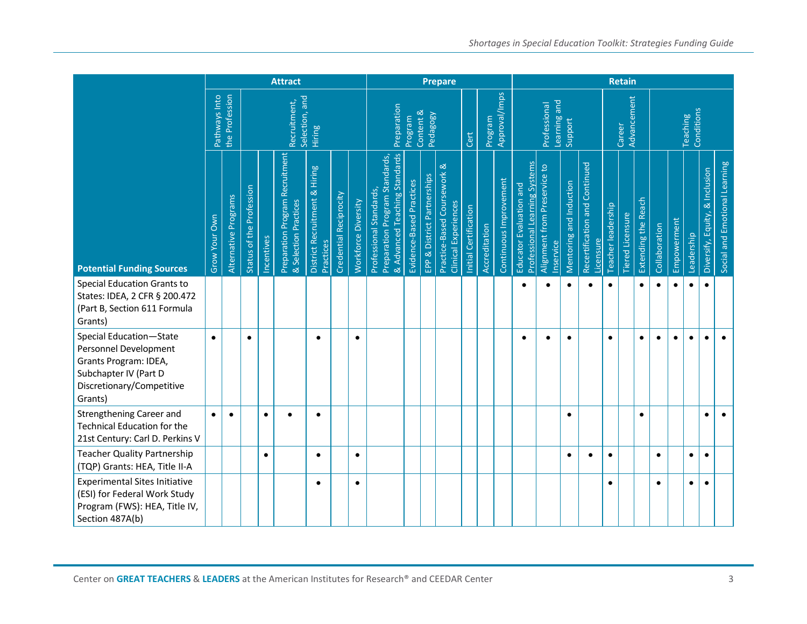|                                                                                                                                            |               |                      |                          |            | <b>Attract</b>                                                  |                                            |                        |                     |                                                                                            | <b>Retain</b>            |                             |                                                     |                       |               |                        |                                                          |                                           |                         |                                            |                    |                       |                     |               |             |                        |                                |                               |
|--------------------------------------------------------------------------------------------------------------------------------------------|---------------|----------------------|--------------------------|------------|-----------------------------------------------------------------|--------------------------------------------|------------------------|---------------------|--------------------------------------------------------------------------------------------|--------------------------|-----------------------------|-----------------------------------------------------|-----------------------|---------------|------------------------|----------------------------------------------------------|-------------------------------------------|-------------------------|--------------------------------------------|--------------------|-----------------------|---------------------|---------------|-------------|------------------------|--------------------------------|-------------------------------|
|                                                                                                                                            | Pathways Into | the Profession       |                          |            | Selection, and<br>Recruitment,                                  | Hiring                                     |                        |                     | Preparation                                                                                | Program                  | Content &<br>Pedagogy       |                                                     | Cert                  | Program       | Approval/Imps          |                                                          | Learning and<br>Professional              | Support                 |                                            |                    | Advancement<br>Career |                     |               |             | Conditions<br>Teaching |                                |                               |
| <b>Potential Funding Sources</b>                                                                                                           | Grow Your Own | Alternative Programs | Status of the Profession | Incentives | <b>Preparation Program Recruitment</b><br>& Selection Practices | District Recruitment & Hiring<br>Practices | Credential Reciprocity | Workforce Diversity | & Advanced Teaching Standards<br>Preparation Program Standards,<br>Professional Standards, | Evidence-Based Practices | EPP & District Partnerships | Practice-Based Coursework &<br>Clinical Experiences | Initial Certification | Accreditation | Continuous Improvement | Professional Learning Systems<br>Educator Evaluation and | Alignment from Preservice to<br>Inservice | Mentoring and Induction | Recertification and Continued<br>Licensure | Teacher leadership | Tiered Licensure      | Extending the Reach | Collaboration | Empowerment | Leadership             | Diversify, Equity, & Inclusion | Social and Emotional Learning |
| <b>Special Education Grants to</b><br>States: IDEA, 2 CFR § 200.472<br>(Part B, Section 611 Formula<br>Grants)                             |               |                      |                          |            |                                                                 |                                            |                        |                     |                                                                                            |                          |                             |                                                     |                       |               |                        |                                                          |                                           | $\bullet$               |                                            | $\bullet$          |                       | $\bullet$           |               | $\bullet$   |                        | $\bullet$                      |                               |
| Special Education-State<br>Personnel Development<br>Grants Program: IDEA,<br>Subchapter IV (Part D<br>Discretionary/Competitive<br>Grants) | $\bullet$     |                      | $\bullet$                |            |                                                                 | $\bullet$                                  |                        | $\bullet$           |                                                                                            |                          |                             |                                                     |                       |               |                        | $\bullet$                                                | $\bullet$                                 | $\bullet$               |                                            | $\bullet$          |                       | $\bullet$           | $\bullet$     | $\bullet$   | $\bullet$              | $\bullet$                      |                               |
| Strengthening Career and<br>Technical Education for the<br>21st Century: Carl D. Perkins V                                                 | $\bullet$     |                      |                          | $\bullet$  | $\bullet$                                                       | $\bullet$                                  |                        |                     |                                                                                            |                          |                             |                                                     |                       |               |                        |                                                          |                                           | $\bullet$               |                                            |                    |                       | $\bullet$           |               |             |                        | $\bullet$                      | $\bullet$                     |
| <b>Teacher Quality Partnership</b><br>(TQP) Grants: HEA, Title II-A                                                                        |               |                      |                          | $\bullet$  |                                                                 | $\bullet$                                  |                        | $\bullet$           |                                                                                            |                          |                             |                                                     |                       |               |                        |                                                          |                                           | $\bullet$               | $\bullet$                                  | $\bullet$          |                       |                     | $\bullet$     |             | $\bullet$              | $\bullet$                      |                               |
| <b>Experimental Sites Initiative</b><br>(ESI) for Federal Work Study<br>Program (FWS): HEA, Title IV,<br>Section 487A(b)                   |               |                      |                          |            |                                                                 | $\bullet$                                  |                        | $\bullet$           |                                                                                            |                          |                             |                                                     |                       |               |                        |                                                          |                                           |                         |                                            | $\bullet$          |                       |                     | $\bullet$     |             | $\bullet$              | $\bullet$                      |                               |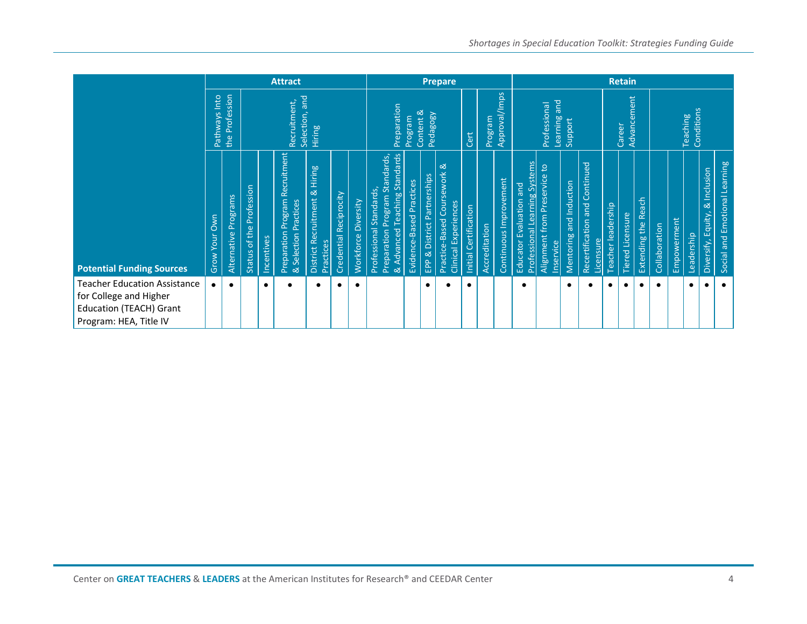|                                                                                                                           |               |                      |                          |                                          | <b>Attract</b>                                              |                                            |                        |                     |                                                           | <b>Prepare</b>                |                                                                                     |                             |                                                            |                       |               |                        |                                                          | <b>Retain</b>                                          |                         |                                            |                    |                  |                     |                 |             |            |                                |                               |
|---------------------------------------------------------------------------------------------------------------------------|---------------|----------------------|--------------------------|------------------------------------------|-------------------------------------------------------------|--------------------------------------------|------------------------|---------------------|-----------------------------------------------------------|-------------------------------|-------------------------------------------------------------------------------------|-----------------------------|------------------------------------------------------------|-----------------------|---------------|------------------------|----------------------------------------------------------|--------------------------------------------------------|-------------------------|--------------------------------------------|--------------------|------------------|---------------------|-----------------|-------------|------------|--------------------------------|-------------------------------|
|                                                                                                                           | Pathways Into | Profession<br>the    |                          | Selection, and<br>Recruitment,<br>Hiring |                                                             |                                            |                        |                     |                                                           |                               | Approval/Imps<br>Preparation<br>Content &<br>Pedagogy<br>Program<br>Program<br>Cert |                             |                                                            |                       |               |                        |                                                          | Learning and<br>Professional                           |                         | Career                                     | Advancement        |                  |                     | <b>Teaching</b> | Conditions  |            |                                |                               |
| <b>Potential Funding Sources</b>                                                                                          | Grow Your Own | Alternative Programs | Status of the Profession | Incentives                               | Recruitment<br>Preparation Program<br>& Selection Practices | District Recruitment & Hiring<br>Practices | Credential Reciprocity | Workforce Diversity | Preparation Program Standards,<br>Professional Standards, | & Advanced Teaching Standards | Evidence-Based Practices                                                            | EPP & District Partnerships | Practice-Based Coursework &<br><b>Clinical Experiences</b> | Initial Certification | Accreditation | Continuous Improvement | Professional Learning Systems<br>Educator Evaluation and | $\mathsf{c}$<br>Alignment from Preservice<br>Inservice | Mentoring and Induction | Recertification and Continued<br>Licensure | Teacher leadership | Tiered Licensure | Extending the Reach | Collaboration   | Empowerment | Leadership | Diversify, Equity, & Inclusion | Social and Emotional Learning |
| <b>Teacher Education Assistance</b><br>for College and Higher<br><b>Education (TEACH) Grant</b><br>Program: HEA, Title IV |               | $\bullet$            |                          | $\bullet$                                | $\bullet$                                                   | $\bullet$                                  | $\bullet$              | $\bullet$           |                                                           |                               |                                                                                     | $\bullet$                   | $\bullet$                                                  | $\bullet$             |               |                        | $\bullet$                                                |                                                        | $\bullet$               |                                            | $\bullet$          | $\bullet$        | $\bullet$           | $\bullet$       |             | $\bullet$  | $\bullet$                      | $\bullet$                     |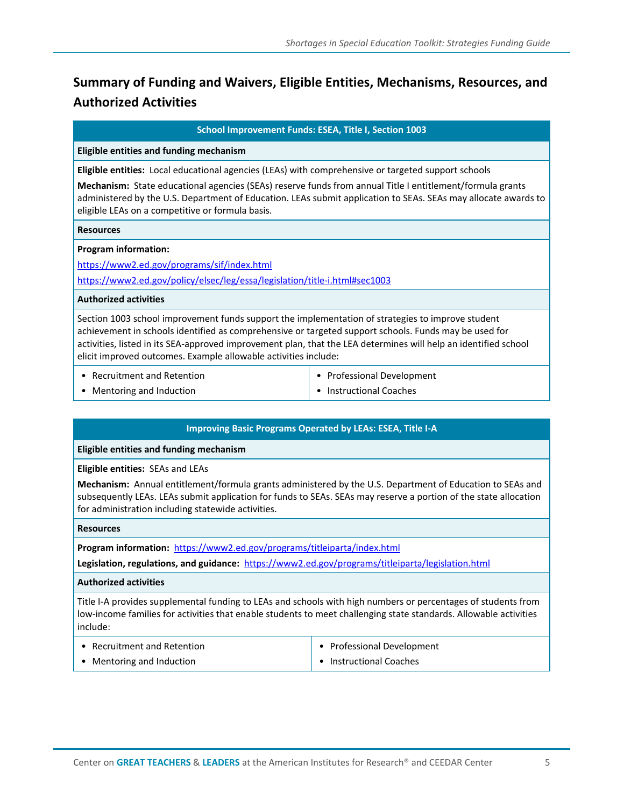# **Summary of Funding and Waivers, Eligible Entities, Mechanisms, Resources, and Authorized Activities**

**School Improvement Funds: ESEA, Title I, Section 1003** 

#### **Eligible entities and funding mechanism**

**Eligible entities:** Local educational agencies (LEAs) with comprehensive or targeted support schools

**Mechanism:** State educational agencies (SEAs) reserve funds from annual Title I entitlement/formula grants administered by the U.S. Department of Education. LEAs submit application to SEAs. SEAs may allocate awards to eligible LEAs on a competitive or formula basis.

#### **Resources**

#### **Program information:**

<https://www2.ed.gov/programs/sif/index.html> <https://www2.ed.gov/policy/elsec/leg/essa/legislation/title-i.html#sec1003>

#### **Authorized activities**

Section 1003 school improvement funds support the implementation of strategies to improve student achievement in schools identified as comprehensive or targeted support schools. Funds may be used for activities, listed in its SEA-approved improvement plan, that the LEA determines will help an identified school elicit improved outcomes. Example allowable activities include:

• Recruitment and Retention

• Professional Development

• Mentoring and Induction

• Instructional Coaches

#### **Improving Basic Programs Operated by LEAs: ESEA, Title I-A**

#### **Eligible entities and funding mechanism**

**Eligible entities:** SEAs and LEAs

**Mechanism:** Annual entitlement/formula grants administered by the U.S. Department of Education to SEAs and subsequently LEAs. LEAs submit application for funds to SEAs. SEAs may reserve a portion of the state allocation for administration including statewide activities.

#### **Resources**

**Program information:** <https://www2.ed.gov/programs/titleiparta/index.html>

**Legislation, regulations, and guidance:**<https://www2.ed.gov/programs/titleiparta/legislation.html>

#### **Authorized activities**

Title I-A provides supplemental funding to LEAs and schools with high numbers or percentages of students from low-income families for activities that enable students to meet challenging state standards. Allowable activities include:

| • Recruitment and Retention | $\bullet$ Professional Development |
|-----------------------------|------------------------------------|
| Mentoring and Induction     | $\bullet$ Instructional Coaches    |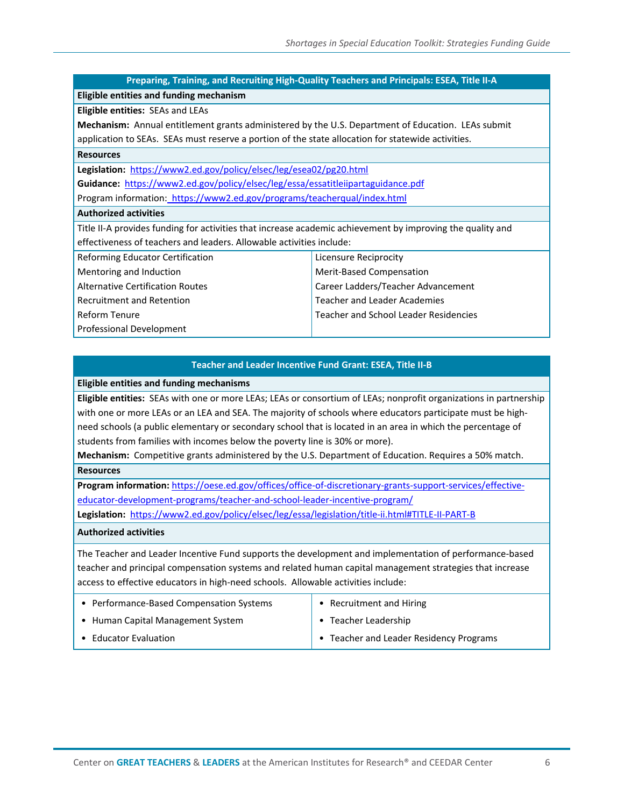# **Preparing, Training, and Recruiting High-Quality Teachers and Principals: ESEA, Title II-A**

**Eligible entities and funding mechanism**

#### **Eligible entities:** SEAs and LEAs

**Mechanism:** Annual entitlement grants administered by the U.S. Department of Education. LEAs submit application to SEAs. SEAs must reserve a portion of the state allocation for statewide activities.

### **Resources**

**Legislation:** <https://www2.ed.gov/policy/elsec/leg/esea02/pg20.html>

**Guidance:**<https://www2.ed.gov/policy/elsec/leg/essa/essatitleiipartaguidance.pdf> Program information:<https://www2.ed.gov/programs/teacherqual/index.html>

#### **Authorized activities**

Title II-A provides funding for activities that increase academic achievement by improving the quality and effectiveness of teachers and leaders. Allowable activities include:

Reforming Educator Certification

Mentoring and Induction

Alternative Certification Routes Recruitment and Retention

Reform Tenure

Professional Development

## **Teacher and Leader Incentive Fund Grant: ESEA, Title II-B**

Licensure Reciprocity Merit-Based Compensation

Career Ladders/Teacher Advancement

Teacher and School Leader Residencies

Teacher and Leader Academies

#### **Eligible entities and funding mechanisms**

**Eligible entities:** SEAs with one or more LEAs; LEAs or consortium of LEAs; nonprofit organizations in partnership with one or more LEAs or an LEA and SEA. The majority of schools where educators participate must be highneed schools (a public elementary or secondary school that is located in an area in which the percentage of students from families with incomes below the poverty line is 30% or more).

**Mechanism:** Competitive grants administered by the U.S. Department of Education. Requires a 50% match. **Resources** 

**Program information:** [https://oese.ed.gov/offices/office-of-discretionary-grants-support-services/effective](https://oese.ed.gov/offices/office-of-discretionary-grants-support-services/effective-educator-development-programs/teacher-and-school-leader-incentive-program/)[educator-development-programs/teacher-and-school-leader-incentive-program/](https://oese.ed.gov/offices/office-of-discretionary-grants-support-services/effective-educator-development-programs/teacher-and-school-leader-incentive-program/) **Legislation:** <https://www2.ed.gov/policy/elsec/leg/essa/legislation/title-ii.html#TITLE-II-PART-B>

#### **Authorized activities**

The Teacher and Leader Incentive Fund supports the development and implementation of performance-based teacher and principal compensation systems and related human capital management strategies that increase access to effective educators in high-need schools. Allowable activities include:

| • Performance-Based Compensation Systems | • Recruitment and Hiring                |
|------------------------------------------|-----------------------------------------|
| • Human Capital Management System        | $\bullet$ Teacher Leadership            |
| • Educator Evaluation                    | • Teacher and Leader Residency Programs |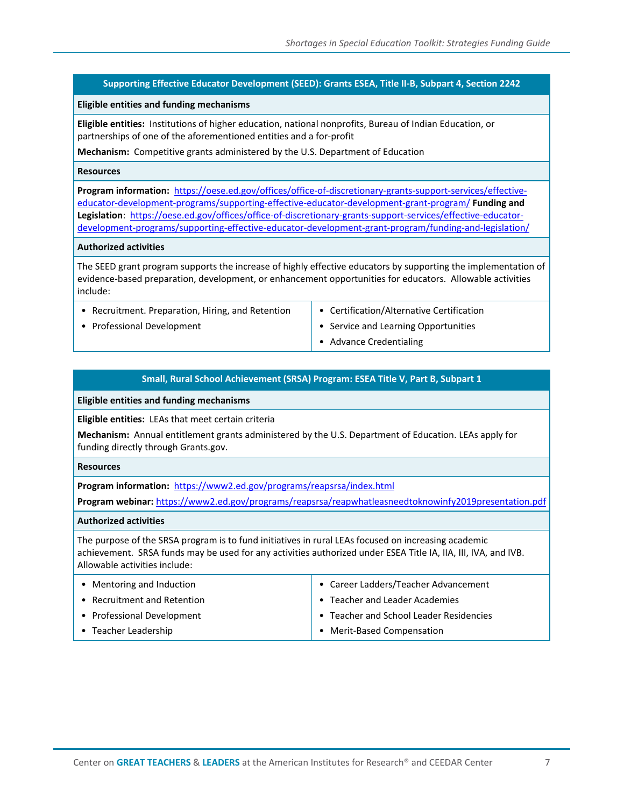#### **Supporting Effective Educator Development (SEED): Grants ESEA, Title II-B, Subpart 4, Section 2242**

#### **Eligible entities and funding mechanisms**

**Eligible entities:** Institutions of higher education, national nonprofits, Bureau of Indian Education, or partnerships of one of the aforementioned entities and a for-profit

**Mechanism:** Competitive grants administered by the U.S. Department of Education

#### **Resources**

**Program information:** [https://oese.ed.gov/offices/office-of-discretionary-grants-support-services/effective](https://oese.ed.gov/offices/office-of-discretionary-grants-support-services/effective-educator-development-programs/supporting-effective-educator-development-grant-program/)[educator-development-programs/supporting-effective-educator-development-grant-program/](https://oese.ed.gov/offices/office-of-discretionary-grants-support-services/effective-educator-development-programs/supporting-effective-educator-development-grant-program/) **Funding and Legislation**: [https://oese.ed.gov/offices/office-of-discretionary-grants-support-services/effective-educator](https://oese.ed.gov/offices/office-of-discretionary-grants-support-services/effective-educator-development-programs/supporting-effective-educator-development-grant-program/funding-and-legislation/)[development-programs/supporting-effective-educator-development-grant-program/funding-and-legislation/](https://oese.ed.gov/offices/office-of-discretionary-grants-support-services/effective-educator-development-programs/supporting-effective-educator-development-grant-program/funding-and-legislation/) 

#### **Authorized activities**

The SEED grant program supports the increase of highly effective educators by supporting the implementation of evidence-based preparation, development, or enhancement opportunities for educators. Allowable activities include:

- Recruitment. Preparation, Hiring, and Retention
- Professional Development
- Certification/Alternative Certification • Service and Learning Opportunities
- Advance Credentialing

#### **Small, Rural School Achievement (SRSA) Program: ESEA Title V, Part B, Subpart 1**

**Eligible entities and funding mechanisms**

**Eligible entities:** LEAs that meet certain criteria

**Mechanism:** Annual entitlement grants administered by the U.S. Department of Education. LEAs apply for funding directly through Grants.gov.

#### **Resources**

**Program information:** <https://www2.ed.gov/programs/reapsrsa/index.html>

**Program webinar:** <https://www2.ed.gov/programs/reapsrsa/reapwhatleasneedtoknowinfy2019presentation.pdf>

#### **Authorized activities**

The purpose of the SRSA program is to fund initiatives in rural LEAs focused on increasing academic achievement. SRSA funds may be used for any activities authorized under ESEA Title IA, IIA, III, IVA, and IVB. Allowable activities include:

| • Mentoring and Induction   | Career Ladders/Teacher Advancement      |
|-----------------------------|-----------------------------------------|
| • Recruitment and Retention | • Teacher and Leader Academies          |
| • Professional Development  | • Teacher and School Leader Residencies |
| • Teacher Leadership        | • Merit-Based Compensation              |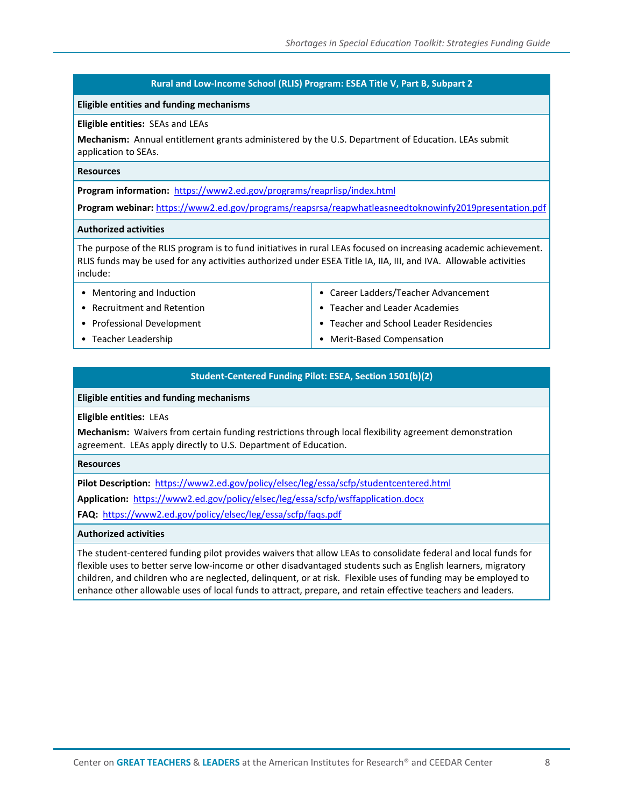#### **Rural and Low-Income School (RLIS) Program: ESEA Title V, Part B, Subpart 2**

#### **Eligible entities and funding mechanisms**

#### **Eligible entities:** SEAs and LEAs

**Mechanism:** Annual entitlement grants administered by the U.S. Department of Education. LEAs submit application to SEAs.

#### **Resources**

**Program information:** <https://www2.ed.gov/programs/reaprlisp/index.html>

**Program webinar:** <https://www2.ed.gov/programs/reapsrsa/reapwhatleasneedtoknowinfy2019presentation.pdf>

#### **Authorized activities**

The purpose of the RLIS program is to fund initiatives in rural LEAs focused on increasing academic achievement. RLIS funds may be used for any activities authorized under ESEA Title IA, IIA, III, and IVA. Allowable activities include:

- Mentoring and Induction • Recruitment and Retention • Professional Development
- Teacher Leadership
- Career Ladders/Teacher Advancement
- Teacher and Leader Academies
- Teacher and School Leader Residencies
- Merit-Based Compensation

#### **Student-Centered Funding Pilot: ESEA, Section 1501(b)(2)**

#### **Eligible entities and funding mechanisms**

#### **Eligible entities:** LEAs

**Mechanism:** Waivers from certain funding restrictions through local flexibility agreement demonstration agreement. LEAs apply directly to U.S. Department of Education.

#### **Resources**

**Pilot Description:** <https://www2.ed.gov/policy/elsec/leg/essa/scfp/studentcentered.html>

**Application:** <https://www2.ed.gov/policy/elsec/leg/essa/scfp/wsffapplication.docx>

**FAQ:** <https://www2.ed.gov/policy/elsec/leg/essa/scfp/faqs.pdf>

#### **Authorized activities**

The student-centered funding pilot provides waivers that allow LEAs to consolidate federal and local funds for flexible uses to better serve low-income or other disadvantaged students such as English learners, migratory children, and children who are neglected, delinquent, or at risk. Flexible uses of funding may be employed to enhance other allowable uses of local funds to attract, prepare, and retain effective teachers and leaders.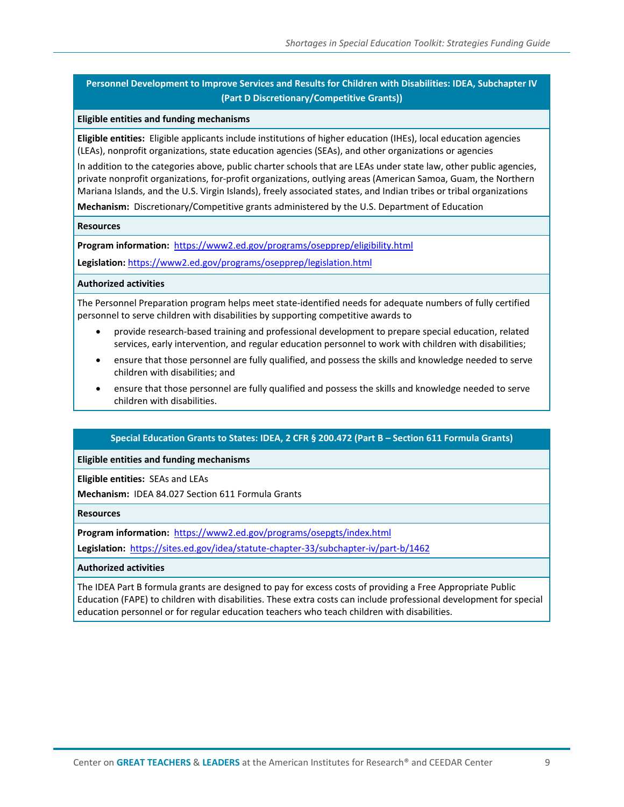### **Personnel Development to Improve Services and Results for Children with Disabilities: IDEA, Subchapter IV (Part D Discretionary/Competitive Grants))**

#### **Eligible entities and funding mechanisms**

**Eligible entities:** Eligible applicants include institutions of higher education (IHEs), local education agencies (LEAs), nonprofit organizations, state education agencies (SEAs), and other organizations or agencies

In addition to the categories above, public charter schools that are LEAs under state law, other public agencies, private nonprofit organizations, for-profit organizations, outlying areas (American Samoa, Guam, the Northern Mariana Islands, and the U.S. Virgin Islands), freely associated states, and Indian tribes or tribal organizations

**Mechanism:** Discretionary/Competitive grants administered by the U.S. Department of Education

#### **Resources**

**Program information:** <https://www2.ed.gov/programs/osepprep/eligibility.html>

**Legislation:** <https://www2.ed.gov/programs/osepprep/legislation.html>

#### **Authorized activities**

The Personnel Preparation program helps meet state-identified needs for adequate numbers of fully certified personnel to serve children with disabilities by supporting competitive awards to

- provide research-based training and professional development to prepare special education, related services, early intervention, and regular education personnel to work with children with disabilities;
- ensure that those personnel are fully qualified, and possess the skills and knowledge needed to serve children with disabilities; and
- ensure that those personnel are fully qualified and possess the skills and knowledge needed to serve children with disabilities.

#### **Special Education Grants to States: IDEA, 2 CFR § 200.472 (Part B – Section 611 Formula Grants)**

#### **Eligible entities and funding mechanisms**

**Eligible entities:** SEAs and LEAs

**Mechanism:** IDEA 84.027 Section 611 Formula Grants

#### **Resources**

**Program information:** <https://www2.ed.gov/programs/osepgts/index.html>

**Legislation:** <https://sites.ed.gov/idea/statute-chapter-33/subchapter-iv/part-b/1462>

#### **Authorized activities**

The IDEA Part B formula grants are designed to pay for excess costs of providing a Free Appropriate Public Education (FAPE) to children with disabilities. These extra costs can include professional development for special education personnel or for regular education teachers who teach children with disabilities.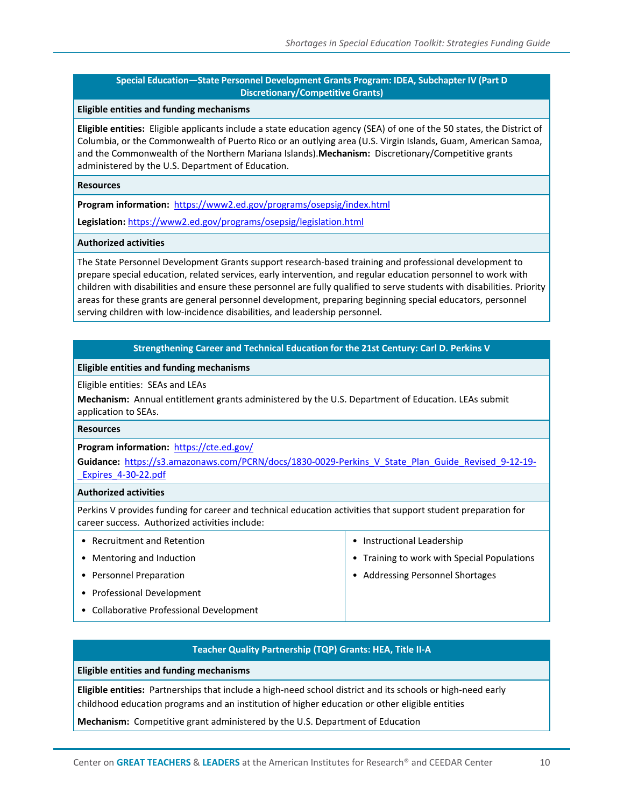• Instructional Leadership

• Addressing Personnel Shortages

• Training to work with Special Populations

#### **Special Education—State Personnel Development Grants Program: IDEA, Subchapter IV (Part D Discretionary/Competitive Grants)**

#### **Eligible entities and funding mechanisms**

**Eligible entities:** Eligible applicants include a state education agency (SEA) of one of the 50 states, the District of Columbia, or the Commonwealth of Puerto Rico or an outlying area (U.S. Virgin Islands, Guam, American Samoa, and the Commonwealth of the Northern Mariana Islands).**Mechanism:** Discretionary/Competitive grants administered by the U.S. Department of Education.

#### **Resources**

**Program information:** <https://www2.ed.gov/programs/osepsig/index.html>

**Legislation:** <https://www2.ed.gov/programs/osepsig/legislation.html>

#### **Authorized activities**

The State Personnel Development Grants support research-based training and professional development to prepare special education, related services, early intervention, and regular education personnel to work with children with disabilities and ensure these personnel are fully qualified to serve students with disabilities. Priority areas for these grants are general personnel development, preparing beginning special educators, personnel serving children with low-incidence disabilities, and leadership personnel.

#### **Strengthening Career and Technical Education for the 21st Century: Carl D. Perkins V**

#### **Eligible entities and funding mechanisms**

Eligible entities: SEAs and LEAs

**Mechanism:** Annual entitlement grants administered by the U.S. Department of Education. LEAs submit application to SEAs.

#### **Resources**

**Program information:** <https://cte.ed.gov/>

**Guidance:** [https://s3.amazonaws.com/PCRN/docs/1830-0029-Perkins\\_V\\_State\\_Plan\\_Guide\\_Revised\\_9-12-19-](https://s3.amazonaws.com/PCRN/docs/1830-0029-Perkins_V_State_Plan_Guide_Revised_9-12-19-_Expires_4-30-22.pdf) Expires\_4-30-22.pdf

#### **Authorized activities**

Perkins V provides funding for career and technical education activities that support student preparation for career success. Authorized activities include:

- Recruitment and Retention
- Mentoring and Induction
- Personnel Preparation
- Professional Development
- Collaborative Professional Development
	- **Teacher Quality Partnership (TQP) Grants: HEA, Title II-A**

**Eligible entities and funding mechanisms**

**Eligible entities:** Partnerships that include a high-need school district and its schools or high-need early childhood education programs and an institution of higher education or other eligible entities

**Mechanism:** Competitive grant administered by the U.S. Department of Education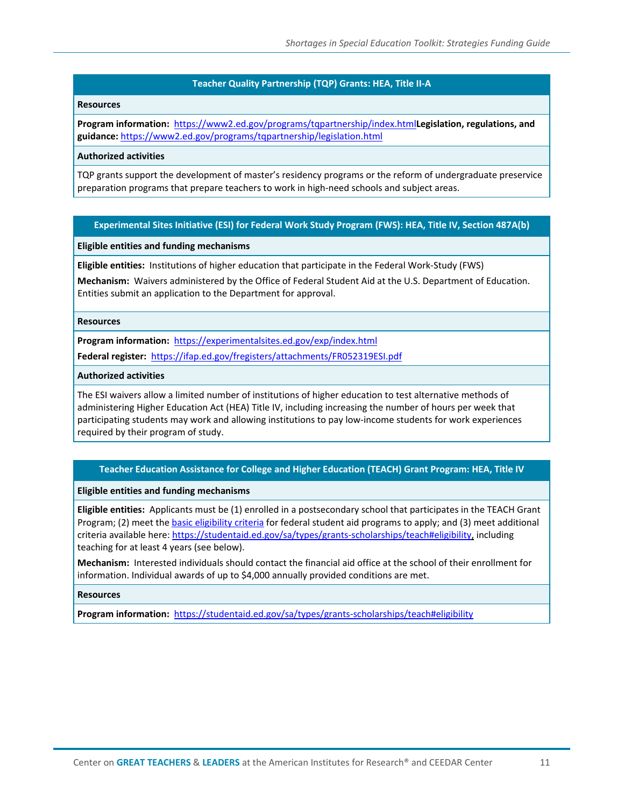#### **Teacher Quality Partnership (TQP) Grants: HEA, Title II-A**

#### **Resources**

**Program information:** <https://www2.ed.gov/programs/tqpartnership/index.html>**Legislation, regulations, and guidance:** <https://www2.ed.gov/programs/tqpartnership/legislation.html>

#### **Authorized activities**

TQP grants support the development of master's residency programs or the reform of undergraduate preservice preparation programs that prepare teachers to work in high-need schools and subject areas.

#### **Experimental Sites Initiative (ESI) for Federal Work Study Program (FWS): HEA, Title IV, Section 487A(b)**

#### **Eligible entities and funding mechanisms**

**Eligible entities:** Institutions of higher education that participate in the Federal Work-Study (FWS)

**Mechanism:** Waivers administered by the Office of Federal Student Aid at the U.S. Department of Education. Entities submit an application to the Department for approval.

#### **Resources**

**Program information:** <https://experimentalsites.ed.gov/exp/index.html>

**Federal register:**<https://ifap.ed.gov/fregisters/attachments/FR052319ESI.pdf>

#### **Authorized activities**

The ESI waivers allow a limited number of institutions of higher education to test alternative methods of administering Higher Education Act (HEA) Title IV, including increasing the number of hours per week that participating students may work and allowing institutions to pay low-income students for work experiences required by their program of study.

#### **Teacher Education Assistance for College and Higher Education (TEACH) Grant Program: HEA, Title IV**

#### **Eligible entities and funding mechanisms**

**Eligible entities:** Applicants must be (1) enrolled in a postsecondary school that participates in the TEACH Grant Program; (2) meet th[e basic eligibility criteria](https://studentaid.ed.gov/sa/eligibility/basic-criteria) for federal student aid programs to apply; and (3) meet additional criteria available here: [https://studentaid.ed.gov/sa/types/grants-scholarships/teach#eligibility,](https://studentaid.ed.gov/sa/types/grants-scholarships/teach#eligibility) including teaching for at least 4 years (see below).

**Mechanism:** Interested individuals should contact the financial aid office at the school of their enrollment for information. Individual awards of up to \$4,000 annually provided conditions are met.

#### **Resources**

**Program information:** <https://studentaid.ed.gov/sa/types/grants-scholarships/teach#eligibility>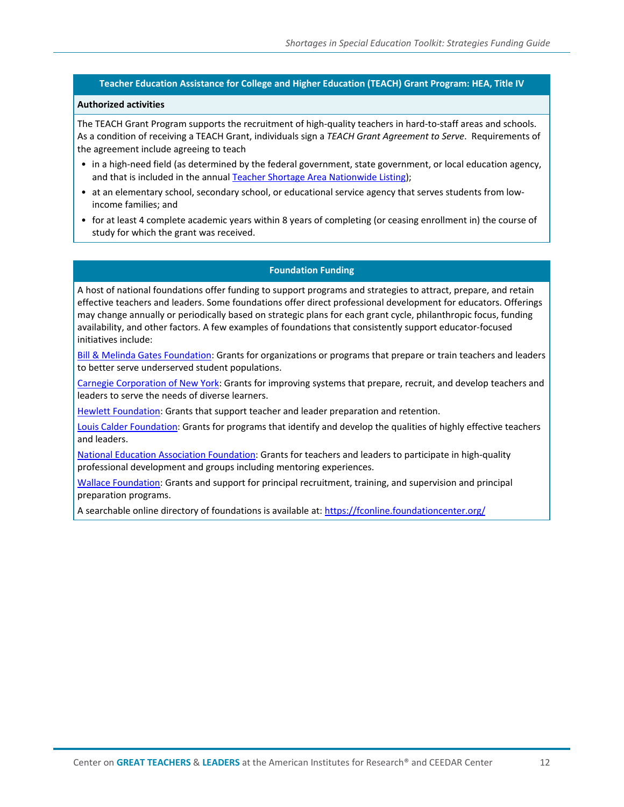#### **Teacher Education Assistance for College and Higher Education (TEACH) Grant Program: HEA, Title IV**

#### **Authorized activities**

The TEACH Grant Program supports the recruitment of high-quality teachers in hard-to-staff areas and schools. As a condition of receiving a TEACH Grant, individuals sign a *TEACH Grant Agreement to Serve*. Requirements of the agreement include agreeing to teach

- in a high-need field (as determined by the federal government, state government, or local education agency, and that is included in the annual [Teacher Shortage Area Nationwide Listing\)](https://www2.ed.gov/about/offices/list/ope/pol/tsa.html);
- at an elementary school, secondary school, or educational service agency that serves students from lowincome families; and
- for at least 4 complete academic years within 8 years of completing (or ceasing enrollment in) the course of study for which the grant was received.

#### **Foundation Funding**

A host of national foundations offer funding to support programs and strategies to attract, prepare, and retain effective teachers and leaders. Some foundations offer direct professional development for educators. Offerings may change annually or periodically based on strategic plans for each grant cycle, philanthropic focus, funding availability, and other factors. A few examples of foundations that consistently support educator-focused initiatives include:

[Bill & Melinda Gates Foundation:](https://www.gatesfoundation.org/What-We-Do/US-Program/K-12-Education) Grants for organizations or programs that prepare or train teachers and leaders to better serve underserved student populations.

[Carnegie Corporation of New York:](https://www.carnegie.org/programs/urban-and-higher-education/) Grants for improving systems that prepare, recruit, and develop teachers and leaders to serve the needs of diverse learners.

[Hewlett Foundation:](https://hewlett.org/) Grants that support teacher and leader preparation and retention.

[Louis Calder Foundation:](https://www.louiscalderfoundation.org/grant-program/teacher-leadership-development/) Grants for programs that identify and develop the qualities of highly effective teachers and leaders.

[National Education Association Foundation:](https://www.neafoundation.org/) Grants for teachers and leaders to participate in high-quality professional development and groups including mentoring experiences.

[Wallace Foundation:](https://www.wallacefoundation.org/pages/default.aspx) Grants and support for principal recruitment, training, and supervision and principal preparation programs.

A searchable online directory of foundations is available at[: https://fconline.foundationcenter.org/](https://fconline.foundationcenter.org/)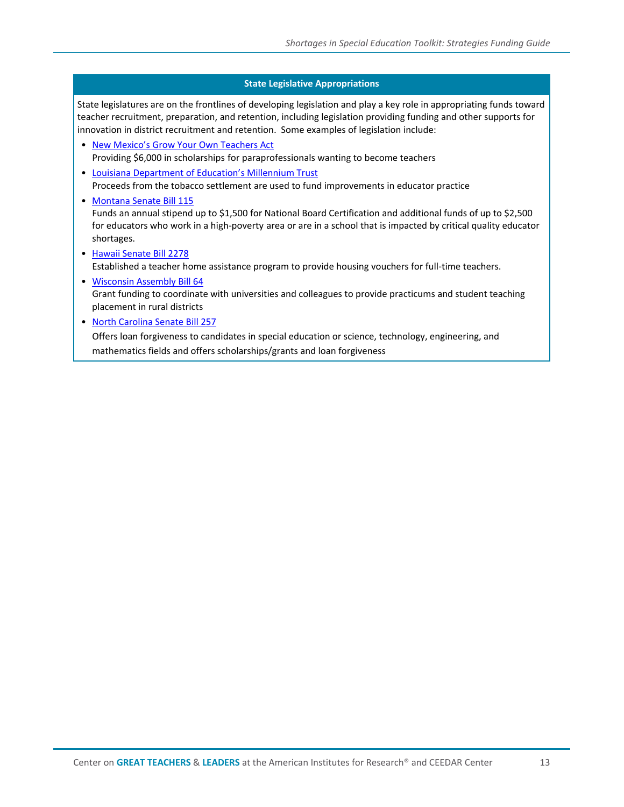#### **State Legislative Appropriations**

State legislatures are on the frontlines of developing legislation and play a key role in appropriating funds toward teacher recruitment, preparation, and retention, including legislation providing funding and other supports for innovation in district recruitment and retention. Some examples of legislation include:

- [New Mexico's Grow Your Own Teachers Act](https://hed.state.nm.us/financial-aid/scholarships/grow-your-own-teachers) Providing \$6,000 in scholarships for paraprofessionals wanting to become teachers
- [Louisiana Department of Education's Millennium Trust](https://www.louisianabelieves.com/funding/grants-management/education-excellence-fund-(eef))  Proceeds from the tobacco settlement are used to fund improvements in educator practice
- [Montana Senate Bill 115](https://leg.mt.gov/bills/2017/BillPdf/SB0115.pdf) Funds an annual stipend up to \$1,500 for National Board Certification and additional funds of up to \$2,500 for educators who work in a high-poverty area or are in a school that is impacted by critical quality educator shortages.
- [Hawaii Senate Bill 2278](https://www.capitol.hawaii.gov/session2018/bills/SB2278_.HTM) Established a teacher home assistance program to provide housing vouchers for full-time teachers.
- [Wisconsin Assembly Bill 64](https://docs.legis.wisconsin.gov/2017/related/acts/59.pdf) Grant funding to coordinate with universities and colleagues to provide practicums and student teaching placement in rural districts
- [North Carolina Senate Bill 257](https://www.ncleg.net/Sessions/2017/Bills/Senate/HTML/S257v8.html)

Offers loan forgiveness to candidates in special education or science, technology, engineering, and mathematics fields and offers scholarships/grants and loan forgiveness